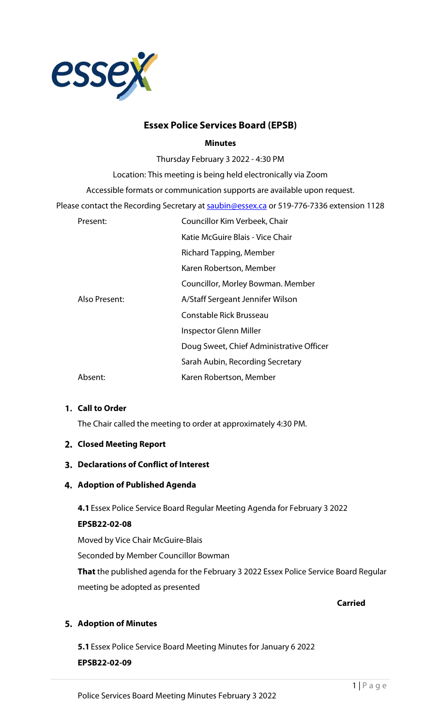

# **Essex Police Services Board (EPSB)**

#### **Minutes**

Thursday February 3 2022 - 4:30 PM

Location: This meeting is being held electronically via Zoom

Accessible formats or communication supports are available upon request.

Please contact the Recording Secretary at [saubin@essex.ca](mailto:saubin@essex.ca) or 519-776-7336 extension 1128

| Present:      | Councillor Kim Verbeek, Chair            |
|---------------|------------------------------------------|
|               | Katie McGuire Blais - Vice Chair         |
|               | Richard Tapping, Member                  |
|               | Karen Robertson, Member                  |
|               | Councillor, Morley Bowman. Member        |
| Also Present: | A/Staff Sergeant Jennifer Wilson         |
|               | Constable Rick Brusseau                  |
|               | Inspector Glenn Miller                   |
|               | Doug Sweet, Chief Administrative Officer |
|               | Sarah Aubin, Recording Secretary         |
| Absent:       | Karen Robertson, Member                  |

# **Call to Order**

The Chair called the meeting to order at approximately 4:30 PM.

#### **Closed Meeting Report**

# **Declarations of Conflict of Interest**

# **Adoption of Published Agenda**

**4.1**Essex Police Service Board Regular Meeting Agenda for February 3 2022

# **EPSB22-02-08**

Moved by Vice Chair McGuire-Blais Seconded by Member Councillor Bowman **That** the published agenda for the February 3 2022 Essex Police Service Board Regular meeting be adopted as presented

**Carried**

# **Adoption of Minutes**

**5.1**Essex Police Service Board Meeting Minutes for January 6 2022

#### **EPSB22-02-09**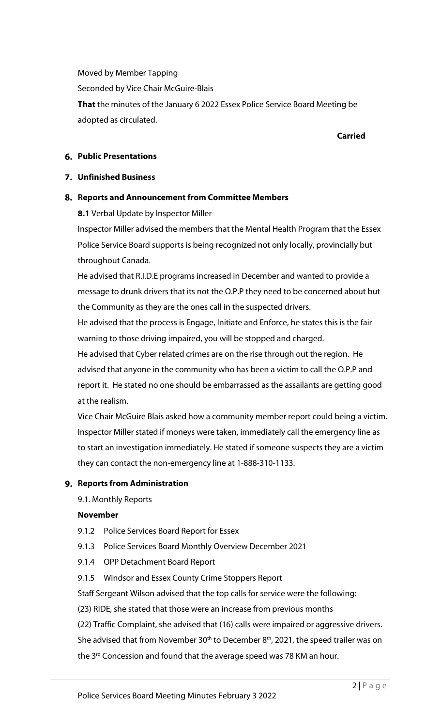Moved by Member Tapping Seconded by Vice Chair McGuire-Blais **That** the minutes of the January 6 2022 Essex Police Service Board Meeting be adopted as circulated.

#### **Carried**

# **Public Presentations**

## **Unfinished Business**

#### **Reports and Announcement from Committee Members**

**8.1** Verbal Update by Inspector Miller

Inspector Miller advised the members that the Mental Health Program that the Essex Police Service Board supports is being recognized not only locally, provincially but throughout Canada.

He advised that R.I.D.E programs increased in December and wanted to provide a message to drunk drivers that its not the O.P.P they need to be concerned about but the Community as they are the ones call in the suspected drivers.

He advised that the process is Engage, Initiate and Enforce, he states this is the fair warning to those driving impaired, you will be stopped and charged.

He advised that Cyber related crimes are on the rise through out the region. He advised that anyone in the community who has been a victim to call the O.P.P and report it. He stated no one should be embarrassed as the assailants are getting good at the realism.

Vice Chair McGuire Blais asked how a community member report could being a victim. Inspector Miller stated if moneys were taken, immediately call the emergency line as to start an investigation immediately. He stated if someone suspects they are a victim they can contact the non-emergency line at 1-888-310-1133.

# **Reports from Administration**

9.1. Monthly Reports

#### **November**

- 9.1.2 Police Services Board Report for Essex
- 9.1.3 Police Services Board Monthly Overview December 2021
- 9.1.4 OPP Detachment Board Report
- 9.1.5 Windsor and Essex County Crime Stoppers Report

Staff Sergeant Wilson advised that the top calls for service were the following:

(23) RIDE, she stated that those were an increase from previous months

(22) Traffic Complaint, she advised that (16) calls were impaired or aggressive drivers.

She advised that from November 30<sup>th</sup> to December  $8<sup>th</sup>$ , 2021, the speed trailer was on the  $3<sup>rd</sup>$  Concession and found that the average speed was 78 KM an hour.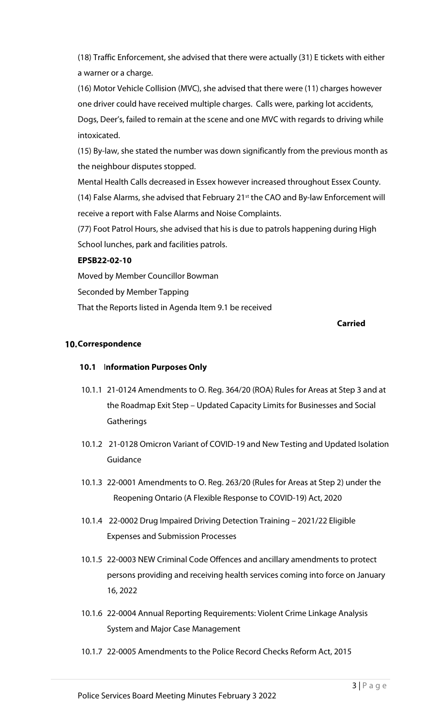(18) Traffic Enforcement, she advised that there were actually (31) E tickets with either a warner or a charge.

(16) Motor Vehicle Collision (MVC), she advised that there were (11) charges however one driver could have received multiple charges. Calls were, parking lot accidents, Dogs, Deer's, failed to remain at the scene and one MVC with regards to driving while intoxicated.

(15) By-law, she stated the number was down significantly from the previous month as the neighbour disputes stopped.

Mental Health Calls decreased in Essex however increased throughout Essex County. (14) False Alarms, she advised that February 21<sup>st</sup> the CAO and By-law Enforcement will receive a report with False Alarms and Noise Complaints.

(77) Foot Patrol Hours, she advised that his is due to patrols happening during High School lunches, park and facilities patrols.

# **EPSB22-02-10**

Moved by Member Councillor Bowman Seconded by Member Tapping That the Reports listed in Agenda Item 9.1 be received

# **Carried**

# **10. Correspondence**

# **10.1** I**nformation Purposes Only**

- 10.1.1 21-0124 Amendments to O. Reg. 364/20 (ROA) Rules for Areas at Step 3 and at the Roadmap Exit Step – Updated Capacity Limits for Businesses and Social **Gatherings**
- 10.1.2 21-0128 Omicron Variant of COVID-19 and New Testing and Updated Isolation Guidance
- 10.1.3 22-0001 Amendments to O. Reg. 263/20 (Rules for Areas at Step 2) under the Reopening Ontario (A Flexible Response to COVID-19) Act, 2020
- 10.1.4 22-0002 Drug Impaired Driving Detection Training 2021/22 Eligible Expenses and Submission Processes
- 10.1.5 22-0003 NEW Criminal Code Offences and ancillary amendments to protect persons providing and receiving health services coming into force on January 16, 2022
- 10.1.6 22-0004 Annual Reporting Requirements: Violent Crime Linkage Analysis System and Major Case Management
- 10.1.7 22-0005 Amendments to the Police Record Checks Reform Act, 2015